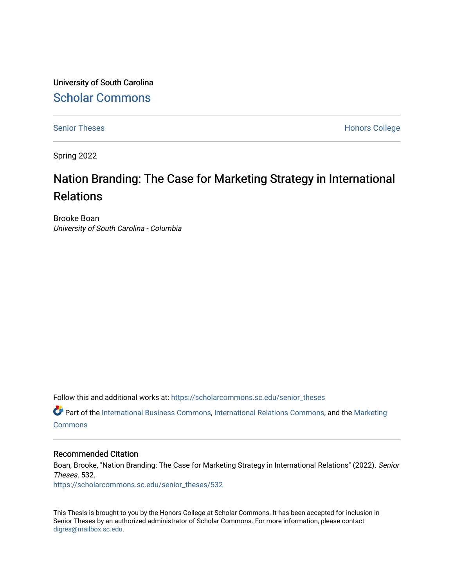University of South Carolina [Scholar Commons](https://scholarcommons.sc.edu/) 

[Senior Theses](https://scholarcommons.sc.edu/senior_theses) **Honors College** Honors College

Spring 2022

# Nation Branding: The Case for Marketing Strategy in International Relations

Brooke Boan University of South Carolina - Columbia

Follow this and additional works at: [https://scholarcommons.sc.edu/senior\\_theses](https://scholarcommons.sc.edu/senior_theses?utm_source=scholarcommons.sc.edu%2Fsenior_theses%2F532&utm_medium=PDF&utm_campaign=PDFCoverPages) 

 $\bullet$  Part of the [International Business Commons,](http://network.bepress.com/hgg/discipline/634?utm_source=scholarcommons.sc.edu%2Fsenior_theses%2F532&utm_medium=PDF&utm_campaign=PDFCoverPages) [International Relations Commons,](http://network.bepress.com/hgg/discipline/389?utm_source=scholarcommons.sc.edu%2Fsenior_theses%2F532&utm_medium=PDF&utm_campaign=PDFCoverPages) and the [Marketing](http://network.bepress.com/hgg/discipline/638?utm_source=scholarcommons.sc.edu%2Fsenior_theses%2F532&utm_medium=PDF&utm_campaign=PDFCoverPages) **[Commons](http://network.bepress.com/hgg/discipline/638?utm_source=scholarcommons.sc.edu%2Fsenior_theses%2F532&utm_medium=PDF&utm_campaign=PDFCoverPages)** 

#### Recommended Citation

Boan, Brooke, "Nation Branding: The Case for Marketing Strategy in International Relations" (2022). Senior Theses. 532.

[https://scholarcommons.sc.edu/senior\\_theses/532](https://scholarcommons.sc.edu/senior_theses/532?utm_source=scholarcommons.sc.edu%2Fsenior_theses%2F532&utm_medium=PDF&utm_campaign=PDFCoverPages) 

This Thesis is brought to you by the Honors College at Scholar Commons. It has been accepted for inclusion in Senior Theses by an authorized administrator of Scholar Commons. For more information, please contact [digres@mailbox.sc.edu](mailto:digres@mailbox.sc.edu).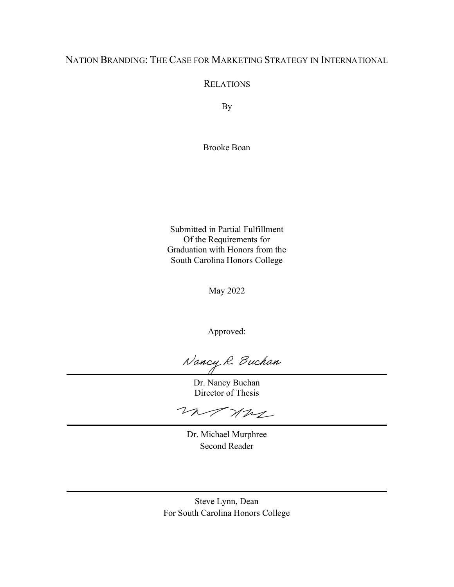# NATION BRANDING: THE CASE FOR MARKETING STRATEGY IN INTERNATIONAL

**RELATIONS** 

By

Brooke Boan

Submitted in Partial Fulfillment Of the Requirements for Graduation with Honors from the South Carolina Honors College

May 2022

Approved:

Nancy R. Buchan

Dr. Nancy Buchan Director of Thesis

monre

Dr. Michael Murphree Second Reader

Steve Lynn, Dean For South Carolina Honors College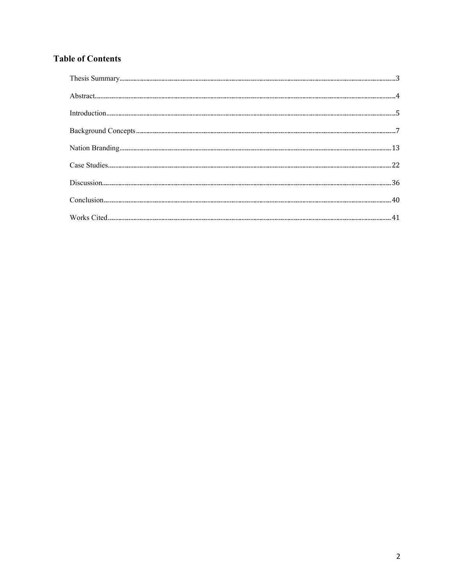# **Table of Contents**

| $-41$ |
|-------|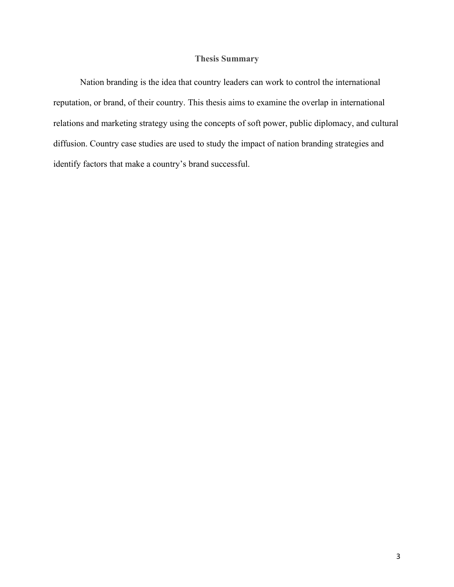# **Thesis Summary**

 Nation branding is the idea that country leaders can work to control the international reputation, or brand, of their country. This thesis aims to examine the overlap in international relations and marketing strategy using the concepts of soft power, public diplomacy, and cultural diffusion. Country case studies are used to study the impact of nation branding strategies and identify factors that make a country's brand successful.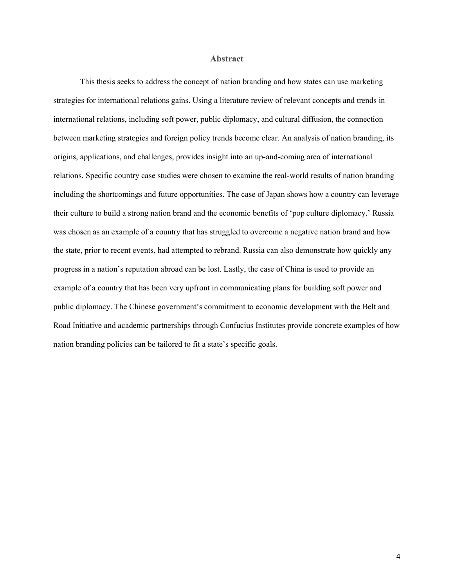#### **Abstract**

This thesis seeks to address the concept of nation branding and how states can use marketing strategies for international relations gains. Using a literature review of relevant concepts and trends in international relations, including soft power, public diplomacy, and cultural diffusion, the connection between marketing strategies and foreign policy trends become clear. An analysis of nation branding, its origins, applications, and challenges, provides insight into an up-and-coming area of international relations. Specific country case studies were chosen to examine the real-world results of nation branding including the shortcomings and future opportunities. The case of Japan shows how a country can leverage their culture to build a strong nation brand and the economic benefits of 'pop culture diplomacy.' Russia was chosen as an example of a country that has struggled to overcome a negative nation brand and how the state, prior to recent events, had attempted to rebrand. Russia can also demonstrate how quickly any progress in a nation's reputation abroad can be lost. Lastly, the case of China is used to provide an example of a country that has been very upfront in communicating plans for building soft power and public diplomacy. The Chinese government's commitment to economic development with the Belt and Road Initiative and academic partnerships through Confucius Institutes provide concrete examples of how nation branding policies can be tailored to fit a state's specific goals.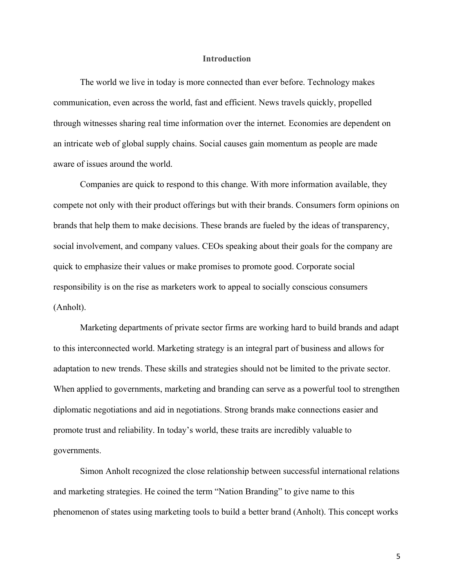#### **Introduction**

The world we live in today is more connected than ever before. Technology makes communication, even across the world, fast and efficient. News travels quickly, propelled through witnesses sharing real time information over the internet. Economies are dependent on an intricate web of global supply chains. Social causes gain momentum as people are made aware of issues around the world.

Companies are quick to respond to this change. With more information available, they compete not only with their product offerings but with their brands. Consumers form opinions on brands that help them to make decisions. These brands are fueled by the ideas of transparency, social involvement, and company values. CEOs speaking about their goals for the company are quick to emphasize their values or make promises to promote good. Corporate social responsibility is on the rise as marketers work to appeal to socially conscious consumers (Anholt).

Marketing departments of private sector firms are working hard to build brands and adapt to this interconnected world. Marketing strategy is an integral part of business and allows for adaptation to new trends. These skills and strategies should not be limited to the private sector. When applied to governments, marketing and branding can serve as a powerful tool to strengthen diplomatic negotiations and aid in negotiations. Strong brands make connections easier and promote trust and reliability. In today's world, these traits are incredibly valuable to governments.

Simon Anholt recognized the close relationship between successful international relations and marketing strategies. He coined the term "Nation Branding" to give name to this phenomenon of states using marketing tools to build a better brand (Anholt). This concept works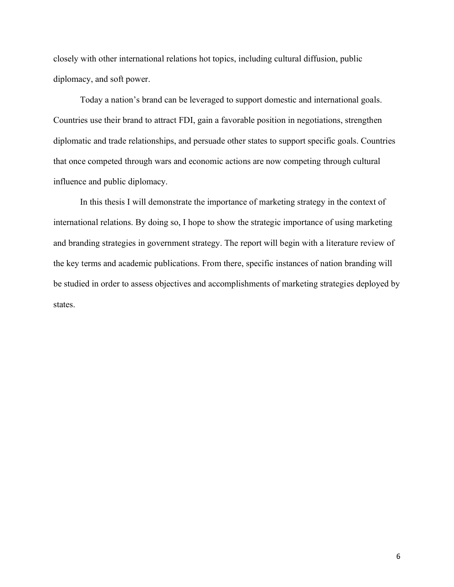closely with other international relations hot topics, including cultural diffusion, public diplomacy, and soft power.

Today a nation's brand can be leveraged to support domestic and international goals. Countries use their brand to attract FDI, gain a favorable position in negotiations, strengthen diplomatic and trade relationships, and persuade other states to support specific goals. Countries that once competed through wars and economic actions are now competing through cultural influence and public diplomacy.

In this thesis I will demonstrate the importance of marketing strategy in the context of international relations. By doing so, I hope to show the strategic importance of using marketing and branding strategies in government strategy. The report will begin with a literature review of the key terms and academic publications. From there, specific instances of nation branding will be studied in order to assess objectives and accomplishments of marketing strategies deployed by states.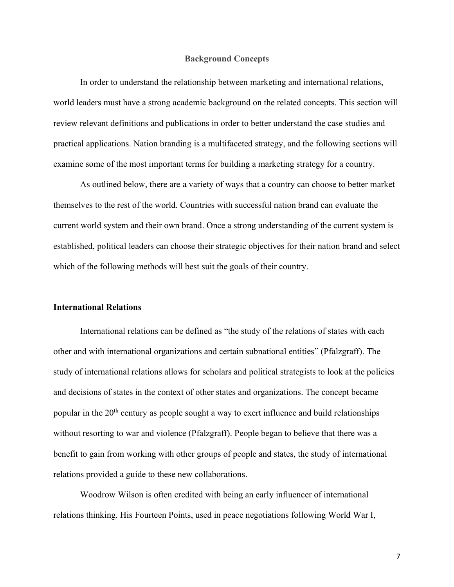#### **Background Concepts**

In order to understand the relationship between marketing and international relations, world leaders must have a strong academic background on the related concepts. This section will review relevant definitions and publications in order to better understand the case studies and practical applications. Nation branding is a multifaceted strategy, and the following sections will examine some of the most important terms for building a marketing strategy for a country.

As outlined below, there are a variety of ways that a country can choose to better market themselves to the rest of the world. Countries with successful nation brand can evaluate the current world system and their own brand. Once a strong understanding of the current system is established, political leaders can choose their strategic objectives for their nation brand and select which of the following methods will best suit the goals of their country.

#### **International Relations**

International relations can be defined as "the study of the relations of states with each other and with international organizations and certain subnational entities" (Pfalzgraff). The study of international relations allows for scholars and political strategists to look at the policies and decisions of states in the context of other states and organizations. The concept became popular in the  $20<sup>th</sup>$  century as people sought a way to exert influence and build relationships without resorting to war and violence (Pfalzgraff). People began to believe that there was a benefit to gain from working with other groups of people and states, the study of international relations provided a guide to these new collaborations.

 Woodrow Wilson is often credited with being an early influencer of international relations thinking. His Fourteen Points, used in peace negotiations following World War I,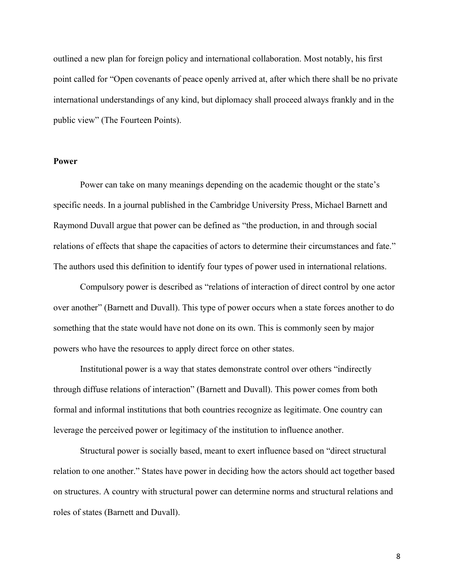outlined a new plan for foreign policy and international collaboration. Most notably, his first point called for "Open covenants of peace openly arrived at, after which there shall be no private international understandings of any kind, but diplomacy shall proceed always frankly and in the public view" (The Fourteen Points).

#### **Power**

Power can take on many meanings depending on the academic thought or the state's specific needs. In a journal published in the Cambridge University Press, Michael Barnett and Raymond Duvall argue that power can be defined as "the production, in and through social relations of effects that shape the capacities of actors to determine their circumstances and fate." The authors used this definition to identify four types of power used in international relations.

Compulsory power is described as "relations of interaction of direct control by one actor over another" (Barnett and Duvall). This type of power occurs when a state forces another to do something that the state would have not done on its own. This is commonly seen by major powers who have the resources to apply direct force on other states.

Institutional power is a way that states demonstrate control over others "indirectly through diffuse relations of interaction" (Barnett and Duvall). This power comes from both formal and informal institutions that both countries recognize as legitimate. One country can leverage the perceived power or legitimacy of the institution to influence another.

Structural power is socially based, meant to exert influence based on "direct structural relation to one another." States have power in deciding how the actors should act together based on structures. A country with structural power can determine norms and structural relations and roles of states (Barnett and Duvall).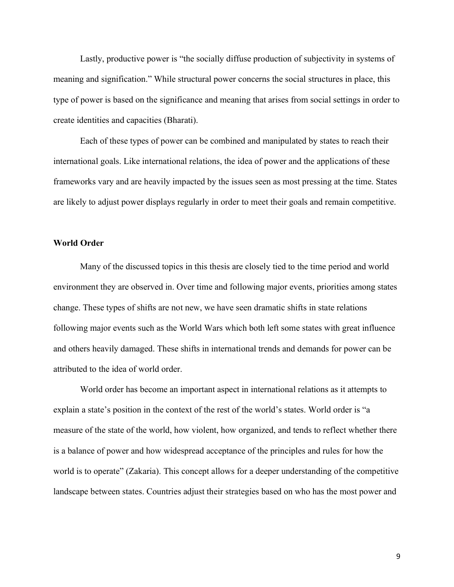Lastly, productive power is "the socially diffuse production of subjectivity in systems of meaning and signification." While structural power concerns the social structures in place, this type of power is based on the significance and meaning that arises from social settings in order to create identities and capacities (Bharati).

Each of these types of power can be combined and manipulated by states to reach their international goals. Like international relations, the idea of power and the applications of these frameworks vary and are heavily impacted by the issues seen as most pressing at the time. States are likely to adjust power displays regularly in order to meet their goals and remain competitive.

# **World Order**

Many of the discussed topics in this thesis are closely tied to the time period and world environment they are observed in. Over time and following major events, priorities among states change. These types of shifts are not new, we have seen dramatic shifts in state relations following major events such as the World Wars which both left some states with great influence and others heavily damaged. These shifts in international trends and demands for power can be attributed to the idea of world order.

World order has become an important aspect in international relations as it attempts to explain a state's position in the context of the rest of the world's states. World order is "a measure of the state of the world, how violent, how organized, and tends to reflect whether there is a balance of power and how widespread acceptance of the principles and rules for how the world is to operate" (Zakaria). This concept allows for a deeper understanding of the competitive landscape between states. Countries adjust their strategies based on who has the most power and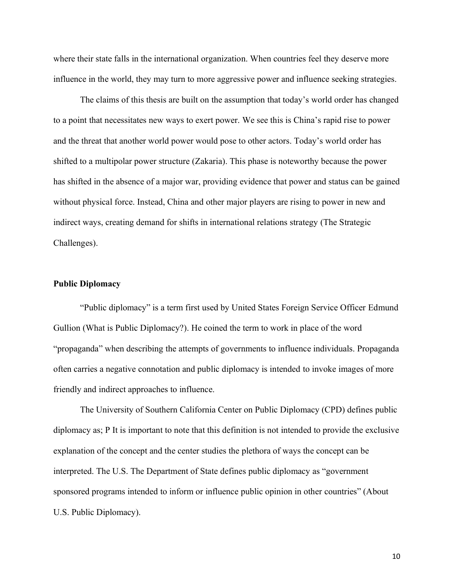where their state falls in the international organization. When countries feel they deserve more influence in the world, they may turn to more aggressive power and influence seeking strategies.

The claims of this thesis are built on the assumption that today's world order has changed to a point that necessitates new ways to exert power. We see this is China's rapid rise to power and the threat that another world power would pose to other actors. Today's world order has shifted to a multipolar power structure (Zakaria). This phase is noteworthy because the power has shifted in the absence of a major war, providing evidence that power and status can be gained without physical force. Instead, China and other major players are rising to power in new and indirect ways, creating demand for shifts in international relations strategy (The Strategic Challenges).

# **Public Diplomacy**

"Public diplomacy" is a term first used by United States Foreign Service Officer Edmund Gullion (What is Public Diplomacy?). He coined the term to work in place of the word "propaganda" when describing the attempts of governments to influence individuals. Propaganda often carries a negative connotation and public diplomacy is intended to invoke images of more friendly and indirect approaches to influence.

The University of Southern California Center on Public Diplomacy (CPD) defines public diplomacy as; P It is important to note that this definition is not intended to provide the exclusive explanation of the concept and the center studies the plethora of ways the concept can be interpreted. The U.S. The Department of State defines public diplomacy as "government sponsored programs intended to inform or influence public opinion in other countries" (About U.S. Public Diplomacy).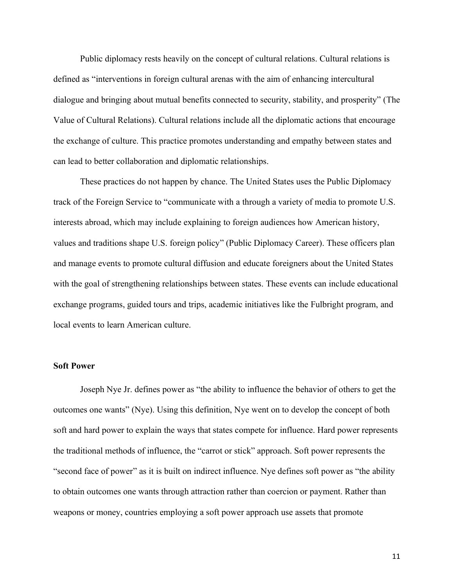Public diplomacy rests heavily on the concept of cultural relations. Cultural relations is defined as "interventions in foreign cultural arenas with the aim of enhancing intercultural dialogue and bringing about mutual benefits connected to security, stability, and prosperity" (The Value of Cultural Relations). Cultural relations include all the diplomatic actions that encourage the exchange of culture. This practice promotes understanding and empathy between states and can lead to better collaboration and diplomatic relationships.

These practices do not happen by chance. The United States uses the Public Diplomacy track of the Foreign Service to "communicate with a through a variety of media to promote U.S. interests abroad, which may include explaining to foreign audiences how American history, values and traditions shape U.S. foreign policy" (Public Diplomacy Career). These officers plan and manage events to promote cultural diffusion and educate foreigners about the United States with the goal of strengthening relationships between states. These events can include educational exchange programs, guided tours and trips, academic initiatives like the Fulbright program, and local events to learn American culture.

# **Soft Power**

Joseph Nye Jr. defines power as "the ability to influence the behavior of others to get the outcomes one wants" (Nye). Using this definition, Nye went on to develop the concept of both soft and hard power to explain the ways that states compete for influence. Hard power represents the traditional methods of influence, the "carrot or stick" approach. Soft power represents the "second face of power" as it is built on indirect influence. Nye defines soft power as "the ability to obtain outcomes one wants through attraction rather than coercion or payment. Rather than weapons or money, countries employing a soft power approach use assets that promote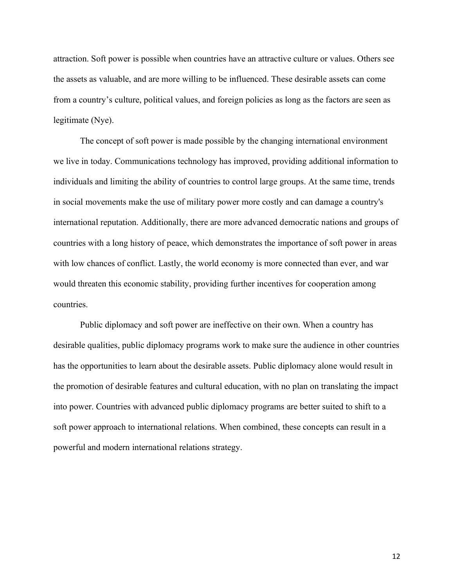attraction. Soft power is possible when countries have an attractive culture or values. Others see the assets as valuable, and are more willing to be influenced. These desirable assets can come from a country's culture, political values, and foreign policies as long as the factors are seen as legitimate (Nye).

The concept of soft power is made possible by the changing international environment we live in today. Communications technology has improved, providing additional information to individuals and limiting the ability of countries to control large groups. At the same time, trends in social movements make the use of military power more costly and can damage a country's international reputation. Additionally, there are more advanced democratic nations and groups of countries with a long history of peace, which demonstrates the importance of soft power in areas with low chances of conflict. Lastly, the world economy is more connected than ever, and war would threaten this economic stability, providing further incentives for cooperation among countries.

Public diplomacy and soft power are ineffective on their own. When a country has desirable qualities, public diplomacy programs work to make sure the audience in other countries has the opportunities to learn about the desirable assets. Public diplomacy alone would result in the promotion of desirable features and cultural education, with no plan on translating the impact into power. Countries with advanced public diplomacy programs are better suited to shift to a soft power approach to international relations. When combined, these concepts can result in a powerful and modern international relations strategy.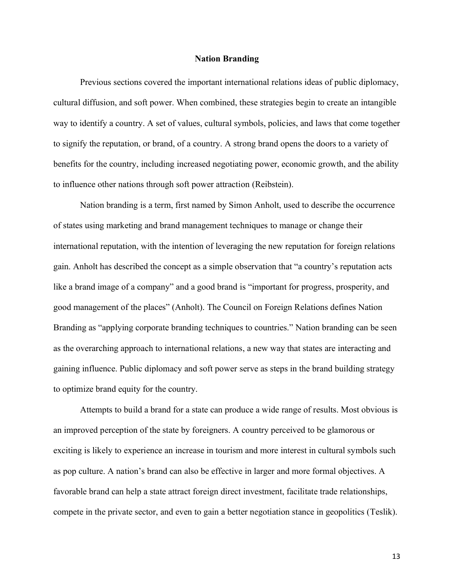#### **Nation Branding**

Previous sections covered the important international relations ideas of public diplomacy, cultural diffusion, and soft power. When combined, these strategies begin to create an intangible way to identify a country. A set of values, cultural symbols, policies, and laws that come together to signify the reputation, or brand, of a country. A strong brand opens the doors to a variety of benefits for the country, including increased negotiating power, economic growth, and the ability to influence other nations through soft power attraction (Reibstein).

Nation branding is a term, first named by Simon Anholt, used to describe the occurrence of states using marketing and brand management techniques to manage or change their international reputation, with the intention of leveraging the new reputation for foreign relations gain. Anholt has described the concept as a simple observation that "a country's reputation acts like a brand image of a company" and a good brand is "important for progress, prosperity, and good management of the places" (Anholt). The Council on Foreign Relations defines Nation Branding as "applying corporate branding techniques to countries." Nation branding can be seen as the overarching approach to international relations, a new way that states are interacting and gaining influence. Public diplomacy and soft power serve as steps in the brand building strategy to optimize brand equity for the country.

Attempts to build a brand for a state can produce a wide range of results. Most obvious is an improved perception of the state by foreigners. A country perceived to be glamorous or exciting is likely to experience an increase in tourism and more interest in cultural symbols such as pop culture. A nation's brand can also be effective in larger and more formal objectives. A favorable brand can help a state attract foreign direct investment, facilitate trade relationships, compete in the private sector, and even to gain a better negotiation stance in geopolitics (Teslik).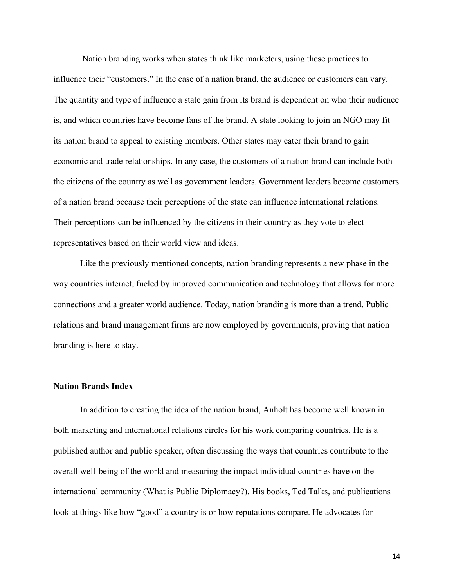Nation branding works when states think like marketers, using these practices to influence their "customers." In the case of a nation brand, the audience or customers can vary. The quantity and type of influence a state gain from its brand is dependent on who their audience is, and which countries have become fans of the brand. A state looking to join an NGO may fit its nation brand to appeal to existing members. Other states may cater their brand to gain economic and trade relationships. In any case, the customers of a nation brand can include both the citizens of the country as well as government leaders. Government leaders become customers of a nation brand because their perceptions of the state can influence international relations. Their perceptions can be influenced by the citizens in their country as they vote to elect representatives based on their world view and ideas.

Like the previously mentioned concepts, nation branding represents a new phase in the way countries interact, fueled by improved communication and technology that allows for more connections and a greater world audience. Today, nation branding is more than a trend. Public relations and brand management firms are now employed by governments, proving that nation branding is here to stay.

#### **Nation Brands Index**

In addition to creating the idea of the nation brand, Anholt has become well known in both marketing and international relations circles for his work comparing countries. He is a published author and public speaker, often discussing the ways that countries contribute to the overall well-being of the world and measuring the impact individual countries have on the international community (What is Public Diplomacy?). His books, Ted Talks, and publications look at things like how "good" a country is or how reputations compare. He advocates for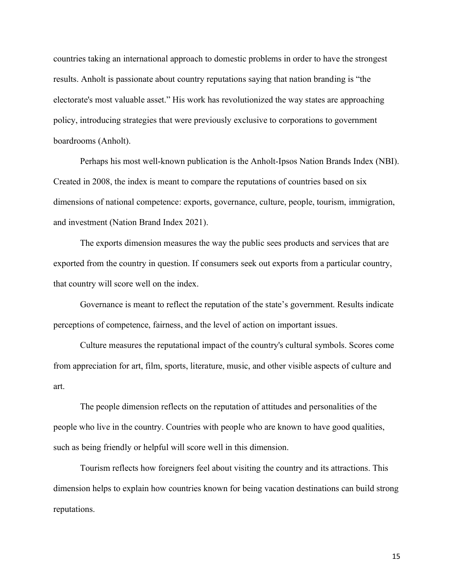countries taking an international approach to domestic problems in order to have the strongest results. Anholt is passionate about country reputations saying that nation branding is "the electorate's most valuable asset." His work has revolutionized the way states are approaching policy, introducing strategies that were previously exclusive to corporations to government boardrooms (Anholt).

Perhaps his most well-known publication is the Anholt-Ipsos Nation Brands Index (NBI). Created in 2008, the index is meant to compare the reputations of countries based on six dimensions of national competence: exports, governance, culture, people, tourism, immigration, and investment (Nation Brand Index 2021).

The exports dimension measures the way the public sees products and services that are exported from the country in question. If consumers seek out exports from a particular country, that country will score well on the index.

Governance is meant to reflect the reputation of the state's government. Results indicate perceptions of competence, fairness, and the level of action on important issues.

Culture measures the reputational impact of the country's cultural symbols. Scores come from appreciation for art, film, sports, literature, music, and other visible aspects of culture and art.

The people dimension reflects on the reputation of attitudes and personalities of the people who live in the country. Countries with people who are known to have good qualities, such as being friendly or helpful will score well in this dimension.

Tourism reflects how foreigners feel about visiting the country and its attractions. This dimension helps to explain how countries known for being vacation destinations can build strong reputations.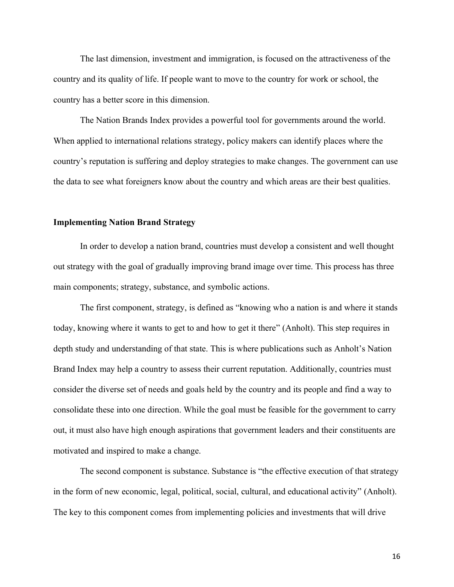The last dimension, investment and immigration, is focused on the attractiveness of the country and its quality of life. If people want to move to the country for work or school, the country has a better score in this dimension.

 The Nation Brands Index provides a powerful tool for governments around the world. When applied to international relations strategy, policy makers can identify places where the country's reputation is suffering and deploy strategies to make changes. The government can use the data to see what foreigners know about the country and which areas are their best qualities.

#### **Implementing Nation Brand Strategy**

In order to develop a nation brand, countries must develop a consistent and well thought out strategy with the goal of gradually improving brand image over time. This process has three main components; strategy, substance, and symbolic actions.

The first component, strategy, is defined as "knowing who a nation is and where it stands today, knowing where it wants to get to and how to get it there" (Anholt). This step requires in depth study and understanding of that state. This is where publications such as Anholt's Nation Brand Index may help a country to assess their current reputation. Additionally, countries must consider the diverse set of needs and goals held by the country and its people and find a way to consolidate these into one direction. While the goal must be feasible for the government to carry out, it must also have high enough aspirations that government leaders and their constituents are motivated and inspired to make a change.

The second component is substance. Substance is "the effective execution of that strategy in the form of new economic, legal, political, social, cultural, and educational activity" (Anholt). The key to this component comes from implementing policies and investments that will drive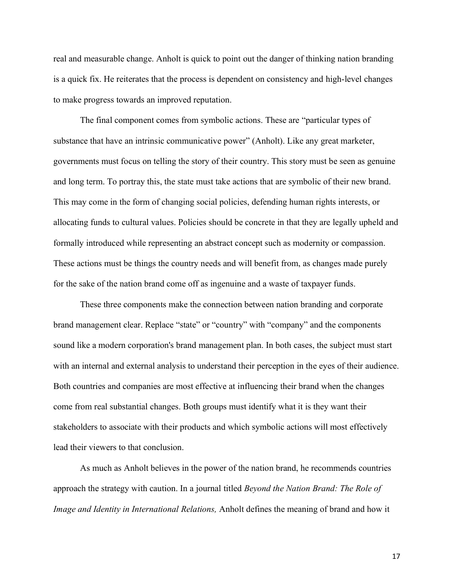real and measurable change. Anholt is quick to point out the danger of thinking nation branding is a quick fix. He reiterates that the process is dependent on consistency and high-level changes to make progress towards an improved reputation.

The final component comes from symbolic actions. These are "particular types of substance that have an intrinsic communicative power" (Anholt). Like any great marketer, governments must focus on telling the story of their country. This story must be seen as genuine and long term. To portray this, the state must take actions that are symbolic of their new brand. This may come in the form of changing social policies, defending human rights interests, or allocating funds to cultural values. Policies should be concrete in that they are legally upheld and formally introduced while representing an abstract concept such as modernity or compassion. These actions must be things the country needs and will benefit from, as changes made purely for the sake of the nation brand come off as ingenuine and a waste of taxpayer funds.

These three components make the connection between nation branding and corporate brand management clear. Replace "state" or "country" with "company" and the components sound like a modern corporation's brand management plan. In both cases, the subject must start with an internal and external analysis to understand their perception in the eyes of their audience. Both countries and companies are most effective at influencing their brand when the changes come from real substantial changes. Both groups must identify what it is they want their stakeholders to associate with their products and which symbolic actions will most effectively lead their viewers to that conclusion.

As much as Anholt believes in the power of the nation brand, he recommends countries approach the strategy with caution. In a journal titled *Beyond the Nation Brand: The Role of Image and Identity in International Relations,* Anholt defines the meaning of brand and how it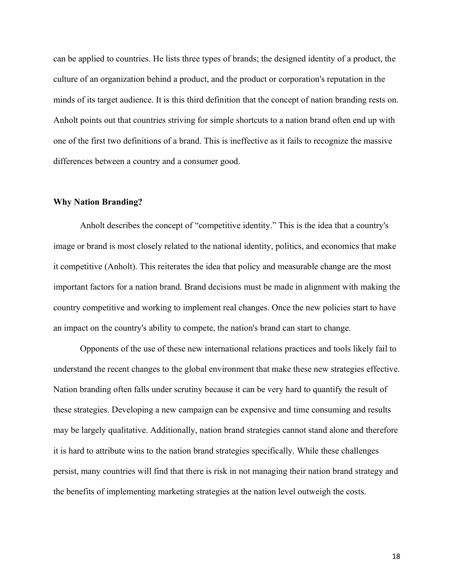can be applied to countries. He lists three types of brands; the designed identity of a product, the culture of an organization behind a product, and the product or corporation's reputation in the minds of its target audience. It is this third definition that the concept of nation branding rests on. Anholt points out that countries striving for simple shortcuts to a nation brand often end up with one of the first two definitions of a brand. This is ineffective as it fails to recognize the massive differences between a country and a consumer good.

### **Why Nation Branding?**

Anholt describes the concept of "competitive identity." This is the idea that a country's image or brand is most closely related to the national identity, politics, and economics that make it competitive (Anholt). This reiterates the idea that policy and measurable change are the most important factors for a nation brand. Brand decisions must be made in alignment with making the country competitive and working to implement real changes. Once the new policies start to have an impact on the country's ability to compete, the nation's brand can start to change.

Opponents of the use of these new international relations practices and tools likely fail to understand the recent changes to the global environment that make these new strategies effective. Nation branding often falls under scrutiny because it can be very hard to quantify the result of these strategies. Developing a new campaign can be expensive and time consuming and results may be largely qualitative. Additionally, nation brand strategies cannot stand alone and therefore it is hard to attribute wins to the nation brand strategies specifically. While these challenges persist, many countries will find that there is risk in not managing their nation brand strategy and the benefits of implementing marketing strategies at the nation level outweigh the costs.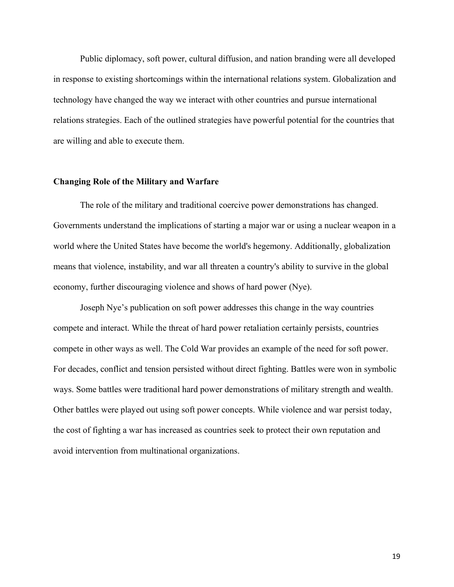Public diplomacy, soft power, cultural diffusion, and nation branding were all developed in response to existing shortcomings within the international relations system. Globalization and technology have changed the way we interact with other countries and pursue international relations strategies. Each of the outlined strategies have powerful potential for the countries that are willing and able to execute them.

#### **Changing Role of the Military and Warfare**

The role of the military and traditional coercive power demonstrations has changed. Governments understand the implications of starting a major war or using a nuclear weapon in a world where the United States have become the world's hegemony. Additionally, globalization means that violence, instability, and war all threaten a country's ability to survive in the global economy, further discouraging violence and shows of hard power (Nye).

Joseph Nye's publication on soft power addresses this change in the way countries compete and interact. While the threat of hard power retaliation certainly persists, countries compete in other ways as well. The Cold War provides an example of the need for soft power. For decades, conflict and tension persisted without direct fighting. Battles were won in symbolic ways. Some battles were traditional hard power demonstrations of military strength and wealth. Other battles were played out using soft power concepts. While violence and war persist today, the cost of fighting a war has increased as countries seek to protect their own reputation and avoid intervention from multinational organizations.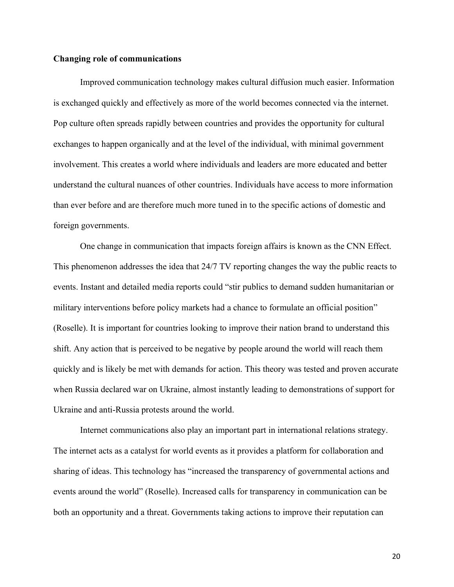# **Changing role of communications**

Improved communication technology makes cultural diffusion much easier. Information is exchanged quickly and effectively as more of the world becomes connected via the internet. Pop culture often spreads rapidly between countries and provides the opportunity for cultural exchanges to happen organically and at the level of the individual, with minimal government involvement. This creates a world where individuals and leaders are more educated and better understand the cultural nuances of other countries. Individuals have access to more information than ever before and are therefore much more tuned in to the specific actions of domestic and foreign governments.

One change in communication that impacts foreign affairs is known as the CNN Effect. This phenomenon addresses the idea that 24/7 TV reporting changes the way the public reacts to events. Instant and detailed media reports could "stir publics to demand sudden humanitarian or military interventions before policy markets had a chance to formulate an official position" (Roselle). It is important for countries looking to improve their nation brand to understand this shift. Any action that is perceived to be negative by people around the world will reach them quickly and is likely be met with demands for action. This theory was tested and proven accurate when Russia declared war on Ukraine, almost instantly leading to demonstrations of support for Ukraine and anti-Russia protests around the world.

Internet communications also play an important part in international relations strategy. The internet acts as a catalyst for world events as it provides a platform for collaboration and sharing of ideas. This technology has "increased the transparency of governmental actions and events around the world" (Roselle). Increased calls for transparency in communication can be both an opportunity and a threat. Governments taking actions to improve their reputation can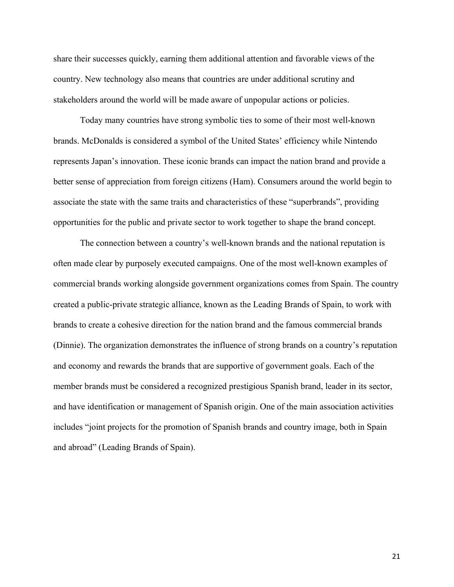share their successes quickly, earning them additional attention and favorable views of the country. New technology also means that countries are under additional scrutiny and stakeholders around the world will be made aware of unpopular actions or policies.

Today many countries have strong symbolic ties to some of their most well-known brands. McDonalds is considered a symbol of the United States' efficiency while Nintendo represents Japan's innovation. These iconic brands can impact the nation brand and provide a better sense of appreciation from foreign citizens (Ham). Consumers around the world begin to associate the state with the same traits and characteristics of these "superbrands", providing opportunities for the public and private sector to work together to shape the brand concept.

The connection between a country's well-known brands and the national reputation is often made clear by purposely executed campaigns. One of the most well-known examples of commercial brands working alongside government organizations comes from Spain. The country created a public-private strategic alliance, known as the Leading Brands of Spain, to work with brands to create a cohesive direction for the nation brand and the famous commercial brands (Dinnie). The organization demonstrates the influence of strong brands on a country's reputation and economy and rewards the brands that are supportive of government goals. Each of the member brands must be considered a recognized prestigious Spanish brand, leader in its sector, and have identification or management of Spanish origin. One of the main association activities includes "joint projects for the promotion of Spanish brands and country image, both in Spain and abroad" (Leading Brands of Spain).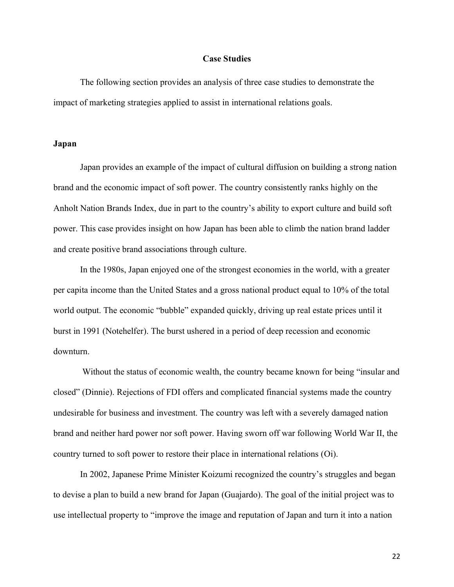#### **Case Studies**

The following section provides an analysis of three case studies to demonstrate the impact of marketing strategies applied to assist in international relations goals.

# **Japan**

 Japan provides an example of the impact of cultural diffusion on building a strong nation brand and the economic impact of soft power. The country consistently ranks highly on the Anholt Nation Brands Index, due in part to the country's ability to export culture and build soft power. This case provides insight on how Japan has been able to climb the nation brand ladder and create positive brand associations through culture.

In the 1980s, Japan enjoyed one of the strongest economies in the world, with a greater per capita income than the United States and a gross national product equal to 10% of the total world output. The economic "bubble" expanded quickly, driving up real estate prices until it burst in 1991 (Notehelfer). The burst ushered in a period of deep recession and economic downturn.

Without the status of economic wealth, the country became known for being "insular and closed" (Dinnie). Rejections of FDI offers and complicated financial systems made the country undesirable for business and investment. The country was left with a severely damaged nation brand and neither hard power nor soft power. Having sworn off war following World War II, the country turned to soft power to restore their place in international relations (Oi).

In 2002, Japanese Prime Minister Koizumi recognized the country's struggles and began to devise a plan to build a new brand for Japan (Guajardo). The goal of the initial project was to use intellectual property to "improve the image and reputation of Japan and turn it into a nation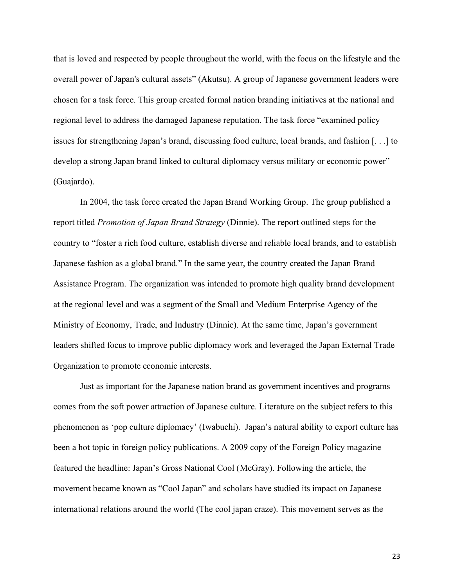that is loved and respected by people throughout the world, with the focus on the lifestyle and the overall power of Japan's cultural assets" (Akutsu). A group of Japanese government leaders were chosen for a task force. This group created formal nation branding initiatives at the national and regional level to address the damaged Japanese reputation. The task force "examined policy issues for strengthening Japan's brand, discussing food culture, local brands, and fashion [. . .] to develop a strong Japan brand linked to cultural diplomacy versus military or economic power" (Guajardo).

In 2004, the task force created the Japan Brand Working Group. The group published a report titled *Promotion of Japan Brand Strategy* (Dinnie). The report outlined steps for the country to "foster a rich food culture, establish diverse and reliable local brands, and to establish Japanese fashion as a global brand." In the same year, the country created the Japan Brand Assistance Program. The organization was intended to promote high quality brand development at the regional level and was a segment of the Small and Medium Enterprise Agency of the Ministry of Economy, Trade, and Industry (Dinnie). At the same time, Japan's government leaders shifted focus to improve public diplomacy work and leveraged the Japan External Trade Organization to promote economic interests.

Just as important for the Japanese nation brand as government incentives and programs comes from the soft power attraction of Japanese culture. Literature on the subject refers to this phenomenon as 'pop culture diplomacy' (Iwabuchi). Japan's natural ability to export culture has been a hot topic in foreign policy publications. A 2009 copy of the Foreign Policy magazine featured the headline: Japan's Gross National Cool (McGray). Following the article, the movement became known as "Cool Japan" and scholars have studied its impact on Japanese international relations around the world (The cool japan craze). This movement serves as the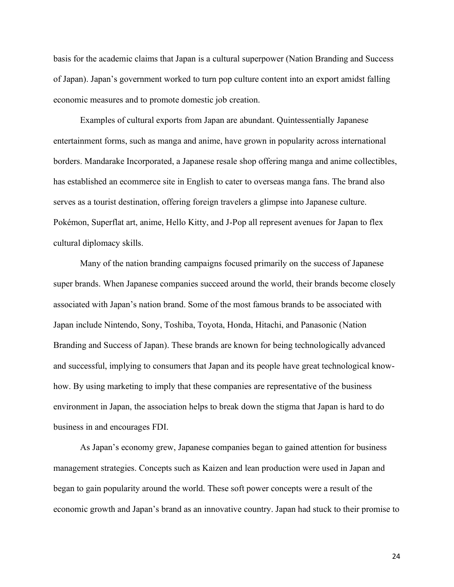basis for the academic claims that Japan is a cultural superpower (Nation Branding and Success of Japan). Japan's government worked to turn pop culture content into an export amidst falling economic measures and to promote domestic job creation.

Examples of cultural exports from Japan are abundant. Quintessentially Japanese entertainment forms, such as manga and anime, have grown in popularity across international borders. Mandarake Incorporated, a Japanese resale shop offering manga and anime collectibles, has established an ecommerce site in English to cater to overseas manga fans. The brand also serves as a tourist destination, offering foreign travelers a glimpse into Japanese culture. Pokémon, Superflat art, anime, Hello Kitty, and J-Pop all represent avenues for Japan to flex cultural diplomacy skills.

Many of the nation branding campaigns focused primarily on the success of Japanese super brands. When Japanese companies succeed around the world, their brands become closely associated with Japan's nation brand. Some of the most famous brands to be associated with Japan include Nintendo, Sony, Toshiba, Toyota, Honda, Hitachi, and Panasonic (Nation Branding and Success of Japan). These brands are known for being technologically advanced and successful, implying to consumers that Japan and its people have great technological knowhow. By using marketing to imply that these companies are representative of the business environment in Japan, the association helps to break down the stigma that Japan is hard to do business in and encourages FDI.

As Japan's economy grew, Japanese companies began to gained attention for business management strategies. Concepts such as Kaizen and lean production were used in Japan and began to gain popularity around the world. These soft power concepts were a result of the economic growth and Japan's brand as an innovative country. Japan had stuck to their promise to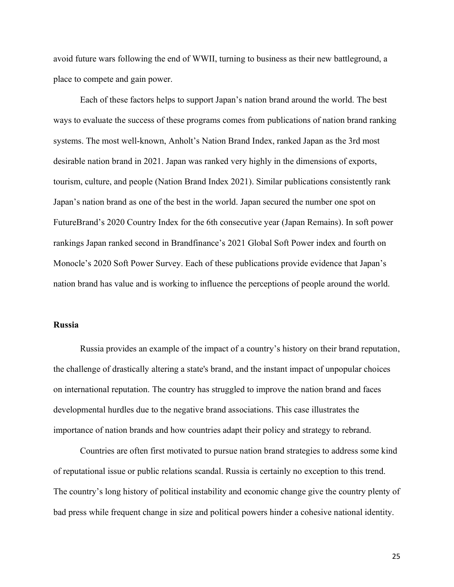avoid future wars following the end of WWII, turning to business as their new battleground, a place to compete and gain power.

Each of these factors helps to support Japan's nation brand around the world. The best ways to evaluate the success of these programs comes from publications of nation brand ranking systems. The most well-known, Anholt's Nation Brand Index, ranked Japan as the 3rd most desirable nation brand in 2021. Japan was ranked very highly in the dimensions of exports, tourism, culture, and people (Nation Brand Index 2021). Similar publications consistently rank Japan's nation brand as one of the best in the world. Japan secured the number one spot on FutureBrand's 2020 Country Index for the 6th consecutive year (Japan Remains). In soft power rankings Japan ranked second in Brandfinance's 2021 Global Soft Power index and fourth on Monocle's 2020 Soft Power Survey. Each of these publications provide evidence that Japan's nation brand has value and is working to influence the perceptions of people around the world.

#### **Russia**

Russia provides an example of the impact of a country's history on their brand reputation, the challenge of drastically altering a state's brand, and the instant impact of unpopular choices on international reputation. The country has struggled to improve the nation brand and faces developmental hurdles due to the negative brand associations. This case illustrates the importance of nation brands and how countries adapt their policy and strategy to rebrand.

 Countries are often first motivated to pursue nation brand strategies to address some kind of reputational issue or public relations scandal. Russia is certainly no exception to this trend. The country's long history of political instability and economic change give the country plenty of bad press while frequent change in size and political powers hinder a cohesive national identity.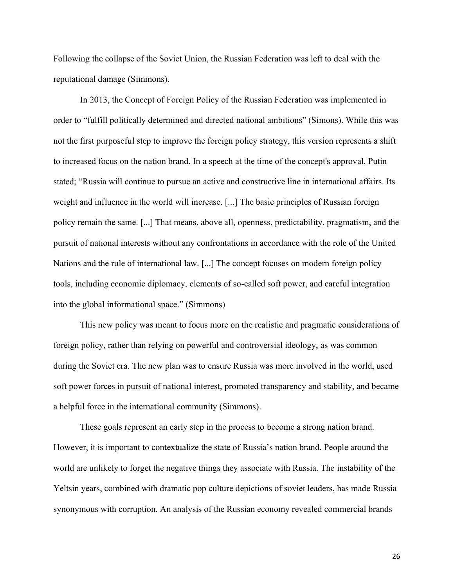Following the collapse of the Soviet Union, the Russian Federation was left to deal with the reputational damage (Simmons).

In 2013, the Concept of Foreign Policy of the Russian Federation was implemented in order to "fulfill politically determined and directed national ambitions" (Simons). While this was not the first purposeful step to improve the foreign policy strategy, this version represents a shift to increased focus on the nation brand. In a speech at the time of the concept's approval, Putin stated; "Russia will continue to pursue an active and constructive line in international affairs. Its weight and influence in the world will increase. [...] The basic principles of Russian foreign policy remain the same. [...] That means, above all, openness, predictability, pragmatism, and the pursuit of national interests without any confrontations in accordance with the role of the United Nations and the rule of international law. [...] The concept focuses on modern foreign policy tools, including economic diplomacy, elements of so-called soft power, and careful integration into the global informational space." (Simmons)

This new policy was meant to focus more on the realistic and pragmatic considerations of foreign policy, rather than relying on powerful and controversial ideology, as was common during the Soviet era. The new plan was to ensure Russia was more involved in the world, used soft power forces in pursuit of national interest, promoted transparency and stability, and became a helpful force in the international community (Simmons).

These goals represent an early step in the process to become a strong nation brand. However, it is important to contextualize the state of Russia's nation brand. People around the world are unlikely to forget the negative things they associate with Russia. The instability of the Yeltsin years, combined with dramatic pop culture depictions of soviet leaders, has made Russia synonymous with corruption. An analysis of the Russian economy revealed commercial brands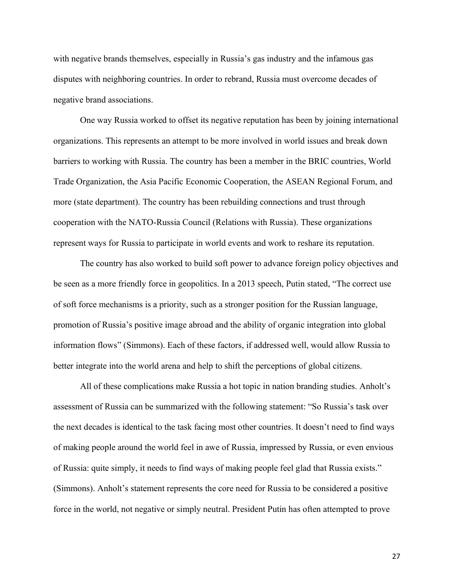with negative brands themselves, especially in Russia's gas industry and the infamous gas disputes with neighboring countries. In order to rebrand, Russia must overcome decades of negative brand associations.

One way Russia worked to offset its negative reputation has been by joining international organizations. This represents an attempt to be more involved in world issues and break down barriers to working with Russia. The country has been a member in the BRIC countries, World Trade Organization, the Asia Pacific Economic Cooperation, the ASEAN Regional Forum, and more (state department). The country has been rebuilding connections and trust through cooperation with the NATO-Russia Council (Relations with Russia). These organizations represent ways for Russia to participate in world events and work to reshare its reputation.

The country has also worked to build soft power to advance foreign policy objectives and be seen as a more friendly force in geopolitics. In a 2013 speech, Putin stated, "The correct use of soft force mechanisms is a priority, such as a stronger position for the Russian language, promotion of Russia's positive image abroad and the ability of organic integration into global information flows" (Simmons). Each of these factors, if addressed well, would allow Russia to better integrate into the world arena and help to shift the perceptions of global citizens.

All of these complications make Russia a hot topic in nation branding studies. Anholt's assessment of Russia can be summarized with the following statement: "So Russia's task over the next decades is identical to the task facing most other countries. It doesn't need to find ways of making people around the world feel in awe of Russia, impressed by Russia, or even envious of Russia: quite simply, it needs to find ways of making people feel glad that Russia exists." (Simmons). Anholt's statement represents the core need for Russia to be considered a positive force in the world, not negative or simply neutral. President Putin has often attempted to prove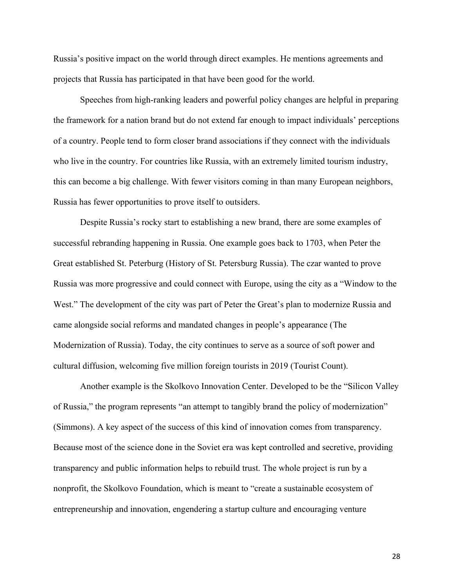Russia's positive impact on the world through direct examples. He mentions agreements and projects that Russia has participated in that have been good for the world.

Speeches from high-ranking leaders and powerful policy changes are helpful in preparing the framework for a nation brand but do not extend far enough to impact individuals' perceptions of a country. People tend to form closer brand associations if they connect with the individuals who live in the country. For countries like Russia, with an extremely limited tourism industry, this can become a big challenge. With fewer visitors coming in than many European neighbors, Russia has fewer opportunities to prove itself to outsiders.

Despite Russia's rocky start to establishing a new brand, there are some examples of successful rebranding happening in Russia. One example goes back to 1703, when Peter the Great established St. Peterburg (History of St. Petersburg Russia). The czar wanted to prove Russia was more progressive and could connect with Europe, using the city as a "Window to the West." The development of the city was part of Peter the Great's plan to modernize Russia and came alongside social reforms and mandated changes in people's appearance (The Modernization of Russia). Today, the city continues to serve as a source of soft power and cultural diffusion, welcoming five million foreign tourists in 2019 (Tourist Count).

Another example is the Skolkovo Innovation Center. Developed to be the "Silicon Valley of Russia," the program represents "an attempt to tangibly brand the policy of modernization" (Simmons). A key aspect of the success of this kind of innovation comes from transparency. Because most of the science done in the Soviet era was kept controlled and secretive, providing transparency and public information helps to rebuild trust. The whole project is run by a nonprofit, the Skolkovo Foundation, which is meant to "create a sustainable ecosystem of entrepreneurship and innovation, engendering a startup culture and encouraging venture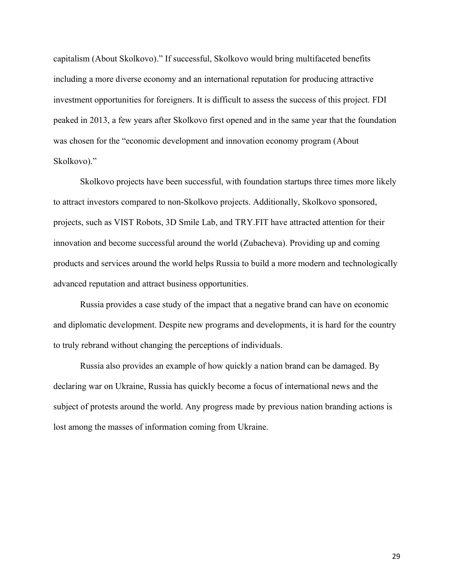capitalism (About Skolkovo)." If successful, Skolkovo would bring multifaceted benefits including a more diverse economy and an international reputation for producing attractive investment opportunities for foreigners. It is difficult to assess the success of this project. FDI peaked in 2013, a few years after Skolkovo first opened and in the same year that the foundation was chosen for the "economic development and innovation economy program (About Skolkovo)."

Skolkovo projects have been successful, with foundation startups three times more likely to attract investors compared to non-Skolkovo projects. Additionally, Skolkovo sponsored, projects, such as VIST Robots, 3D Smile Lab, and TRY.FIT have attracted attention for their innovation and become successful around the world (Zubacheva). Providing up and coming products and services around the world helps Russia to build a more modern and technologically advanced reputation and attract business opportunities.

Russia provides a case study of the impact that a negative brand can have on economic and diplomatic development. Despite new programs and developments, it is hard for the country to truly rebrand without changing the perceptions of individuals.

Russia also provides an example of how quickly a nation brand can be damaged. By declaring war on Ukraine, Russia has quickly become a focus of international news and the subject of protests around the world. Any progress made by previous nation branding actions is lost among the masses of information coming from Ukraine.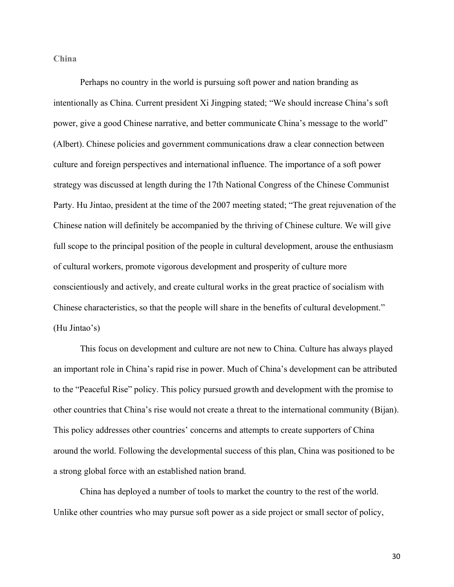**China** 

 Perhaps no country in the world is pursuing soft power and nation branding as intentionally as China. Current president Xi Jingping stated; "We should increase China's soft power, give a good Chinese narrative, and better communicate China's message to the world" (Albert). Chinese policies and government communications draw a clear connection between culture and foreign perspectives and international influence. The importance of a soft power strategy was discussed at length during the 17th National Congress of the Chinese Communist Party. Hu Jintao, president at the time of the 2007 meeting stated; "The great rejuvenation of the Chinese nation will definitely be accompanied by the thriving of Chinese culture. We will give full scope to the principal position of the people in cultural development, arouse the enthusiasm of cultural workers, promote vigorous development and prosperity of culture more conscientiously and actively, and create cultural works in the great practice of socialism with Chinese characteristics, so that the people will share in the benefits of cultural development." (Hu Jintao's)

This focus on development and culture are not new to China. Culture has always played an important role in China's rapid rise in power. Much of China's development can be attributed to the "Peaceful Rise" policy. This policy pursued growth and development with the promise to other countries that China's rise would not create a threat to the international community (Bijan). This policy addresses other countries' concerns and attempts to create supporters of China around the world. Following the developmental success of this plan, China was positioned to be a strong global force with an established nation brand.

China has deployed a number of tools to market the country to the rest of the world. Unlike other countries who may pursue soft power as a side project or small sector of policy,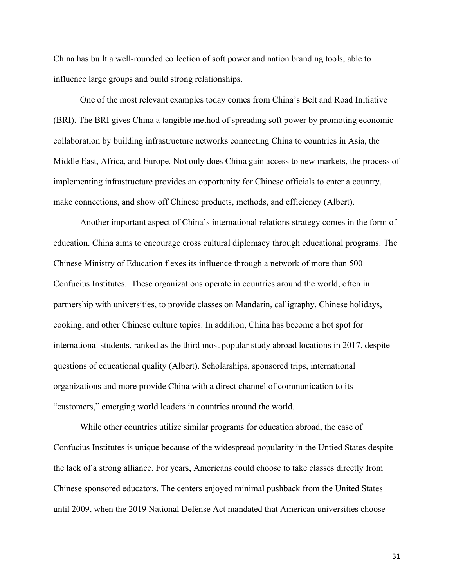China has built a well-rounded collection of soft power and nation branding tools, able to influence large groups and build strong relationships.

One of the most relevant examples today comes from China's Belt and Road Initiative (BRI). The BRI gives China a tangible method of spreading soft power by promoting economic collaboration by building infrastructure networks connecting China to countries in Asia, the Middle East, Africa, and Europe. Not only does China gain access to new markets, the process of implementing infrastructure provides an opportunity for Chinese officials to enter a country, make connections, and show off Chinese products, methods, and efficiency (Albert).

Another important aspect of China's international relations strategy comes in the form of education. China aims to encourage cross cultural diplomacy through educational programs. The Chinese Ministry of Education flexes its influence through a network of more than 500 Confucius Institutes. These organizations operate in countries around the world, often in partnership with universities, to provide classes on Mandarin, calligraphy, Chinese holidays, cooking, and other Chinese culture topics. In addition, China has become a hot spot for international students, ranked as the third most popular study abroad locations in 2017, despite questions of educational quality (Albert). Scholarships, sponsored trips, international organizations and more provide China with a direct channel of communication to its "customers," emerging world leaders in countries around the world.

While other countries utilize similar programs for education abroad, the case of Confucius Institutes is unique because of the widespread popularity in the Untied States despite the lack of a strong alliance. For years, Americans could choose to take classes directly from Chinese sponsored educators. The centers enjoyed minimal pushback from the United States until 2009, when the 2019 National Defense Act mandated that American universities choose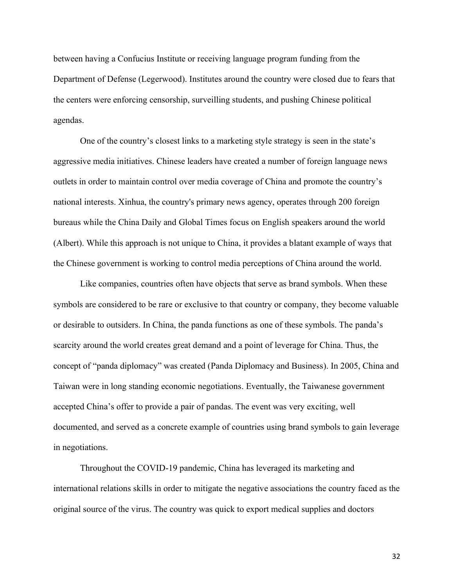between having a Confucius Institute or receiving language program funding from the Department of Defense (Legerwood). Institutes around the country were closed due to fears that the centers were enforcing censorship, surveilling students, and pushing Chinese political agendas.

One of the country's closest links to a marketing style strategy is seen in the state's aggressive media initiatives. Chinese leaders have created a number of foreign language news outlets in order to maintain control over media coverage of China and promote the country's national interests. Xinhua, the country's primary news agency, operates through 200 foreign bureaus while the China Daily and Global Times focus on English speakers around the world (Albert). While this approach is not unique to China, it provides a blatant example of ways that the Chinese government is working to control media perceptions of China around the world.

Like companies, countries often have objects that serve as brand symbols. When these symbols are considered to be rare or exclusive to that country or company, they become valuable or desirable to outsiders. In China, the panda functions as one of these symbols. The panda's scarcity around the world creates great demand and a point of leverage for China. Thus, the concept of "panda diplomacy" was created (Panda Diplomacy and Business). In 2005, China and Taiwan were in long standing economic negotiations. Eventually, the Taiwanese government accepted China's offer to provide a pair of pandas. The event was very exciting, well documented, and served as a concrete example of countries using brand symbols to gain leverage in negotiations.

Throughout the COVID-19 pandemic, China has leveraged its marketing and international relations skills in order to mitigate the negative associations the country faced as the original source of the virus. The country was quick to export medical supplies and doctors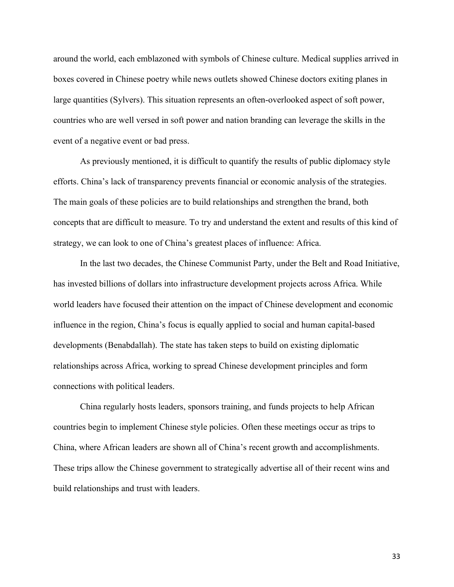around the world, each emblazoned with symbols of Chinese culture. Medical supplies arrived in boxes covered in Chinese poetry while news outlets showed Chinese doctors exiting planes in large quantities (Sylvers). This situation represents an often-overlooked aspect of soft power, countries who are well versed in soft power and nation branding can leverage the skills in the event of a negative event or bad press.

As previously mentioned, it is difficult to quantify the results of public diplomacy style efforts. China's lack of transparency prevents financial or economic analysis of the strategies. The main goals of these policies are to build relationships and strengthen the brand, both concepts that are difficult to measure. To try and understand the extent and results of this kind of strategy, we can look to one of China's greatest places of influence: Africa.

In the last two decades, the Chinese Communist Party, under the Belt and Road Initiative, has invested billions of dollars into infrastructure development projects across Africa. While world leaders have focused their attention on the impact of Chinese development and economic influence in the region, China's focus is equally applied to social and human capital-based developments (Benabdallah). The state has taken steps to build on existing diplomatic relationships across Africa, working to spread Chinese development principles and form connections with political leaders.

China regularly hosts leaders, sponsors training, and funds projects to help African countries begin to implement Chinese style policies. Often these meetings occur as trips to China, where African leaders are shown all of China's recent growth and accomplishments. These trips allow the Chinese government to strategically advertise all of their recent wins and build relationships and trust with leaders.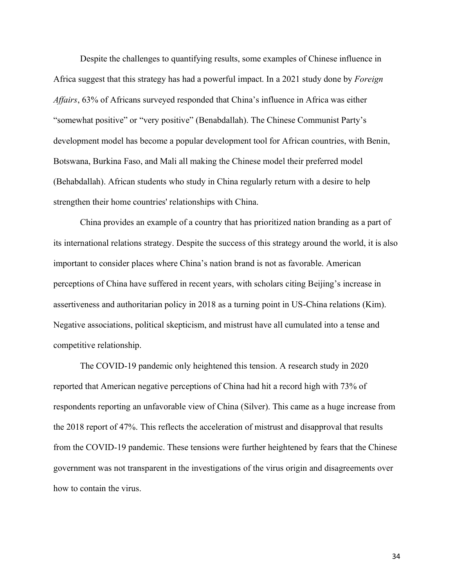Despite the challenges to quantifying results, some examples of Chinese influence in Africa suggest that this strategy has had a powerful impact. In a 2021 study done by *Foreign Affairs*, 63% of Africans surveyed responded that China's influence in Africa was either "somewhat positive" or "very positive" (Benabdallah). The Chinese Communist Party's development model has become a popular development tool for African countries, with Benin, Botswana, Burkina Faso, and Mali all making the Chinese model their preferred model (Behabdallah). African students who study in China regularly return with a desire to help strengthen their home countries' relationships with China.

China provides an example of a country that has prioritized nation branding as a part of its international relations strategy. Despite the success of this strategy around the world, it is also important to consider places where China's nation brand is not as favorable. American perceptions of China have suffered in recent years, with scholars citing Beijing's increase in assertiveness and authoritarian policy in 2018 as a turning point in US-China relations (Kim). Negative associations, political skepticism, and mistrust have all cumulated into a tense and competitive relationship.

The COVID-19 pandemic only heightened this tension. A research study in 2020 reported that American negative perceptions of China had hit a record high with 73% of respondents reporting an unfavorable view of China (Silver). This came as a huge increase from the 2018 report of 47%. This reflects the acceleration of mistrust and disapproval that results from the COVID-19 pandemic. These tensions were further heightened by fears that the Chinese government was not transparent in the investigations of the virus origin and disagreements over how to contain the virus.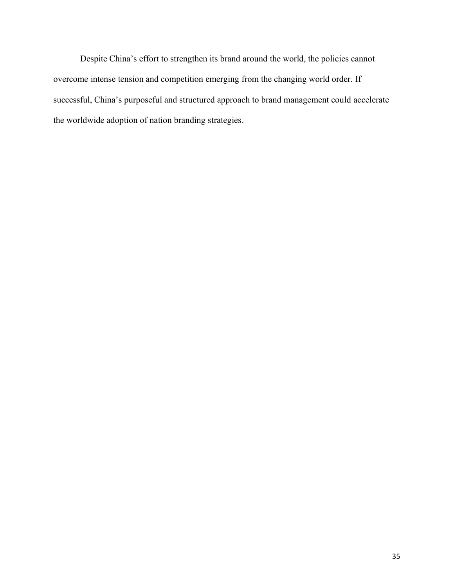Despite China's effort to strengthen its brand around the world, the policies cannot overcome intense tension and competition emerging from the changing world order. If successful, China's purposeful and structured approach to brand management could accelerate the worldwide adoption of nation branding strategies.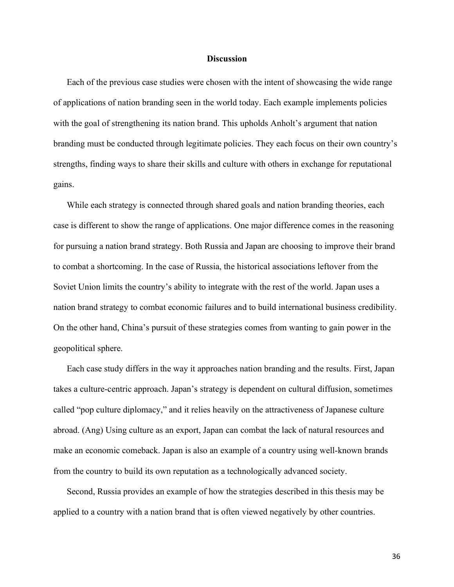#### **Discussion**

Each of the previous case studies were chosen with the intent of showcasing the wide range of applications of nation branding seen in the world today. Each example implements policies with the goal of strengthening its nation brand. This upholds Anholt's argument that nation branding must be conducted through legitimate policies. They each focus on their own country's strengths, finding ways to share their skills and culture with others in exchange for reputational gains.

While each strategy is connected through shared goals and nation branding theories, each case is different to show the range of applications. One major difference comes in the reasoning for pursuing a nation brand strategy. Both Russia and Japan are choosing to improve their brand to combat a shortcoming. In the case of Russia, the historical associations leftover from the Soviet Union limits the country's ability to integrate with the rest of the world. Japan uses a nation brand strategy to combat economic failures and to build international business credibility. On the other hand, China's pursuit of these strategies comes from wanting to gain power in the geopolitical sphere.

Each case study differs in the way it approaches nation branding and the results. First, Japan takes a culture-centric approach. Japan's strategy is dependent on cultural diffusion, sometimes called "pop culture diplomacy," and it relies heavily on the attractiveness of Japanese culture abroad. (Ang) Using culture as an export, Japan can combat the lack of natural resources and make an economic comeback. Japan is also an example of a country using well-known brands from the country to build its own reputation as a technologically advanced society.

Second, Russia provides an example of how the strategies described in this thesis may be applied to a country with a nation brand that is often viewed negatively by other countries.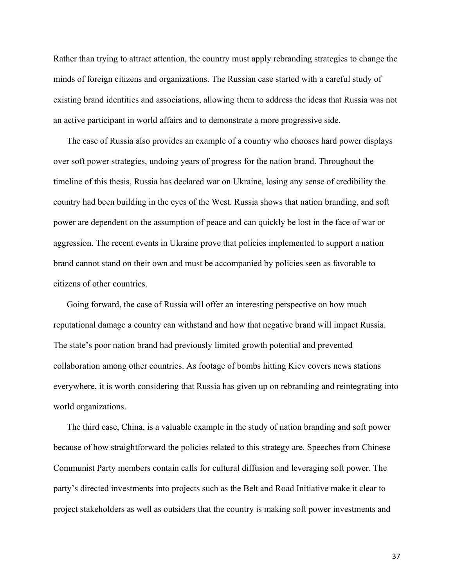Rather than trying to attract attention, the country must apply rebranding strategies to change the minds of foreign citizens and organizations. The Russian case started with a careful study of existing brand identities and associations, allowing them to address the ideas that Russia was not an active participant in world affairs and to demonstrate a more progressive side.

The case of Russia also provides an example of a country who chooses hard power displays over soft power strategies, undoing years of progress for the nation brand. Throughout the timeline of this thesis, Russia has declared war on Ukraine, losing any sense of credibility the country had been building in the eyes of the West. Russia shows that nation branding, and soft power are dependent on the assumption of peace and can quickly be lost in the face of war or aggression. The recent events in Ukraine prove that policies implemented to support a nation brand cannot stand on their own and must be accompanied by policies seen as favorable to citizens of other countries.

Going forward, the case of Russia will offer an interesting perspective on how much reputational damage a country can withstand and how that negative brand will impact Russia. The state's poor nation brand had previously limited growth potential and prevented collaboration among other countries. As footage of bombs hitting Kiev covers news stations everywhere, it is worth considering that Russia has given up on rebranding and reintegrating into world organizations.

The third case, China, is a valuable example in the study of nation branding and soft power because of how straightforward the policies related to this strategy are. Speeches from Chinese Communist Party members contain calls for cultural diffusion and leveraging soft power. The party's directed investments into projects such as the Belt and Road Initiative make it clear to project stakeholders as well as outsiders that the country is making soft power investments and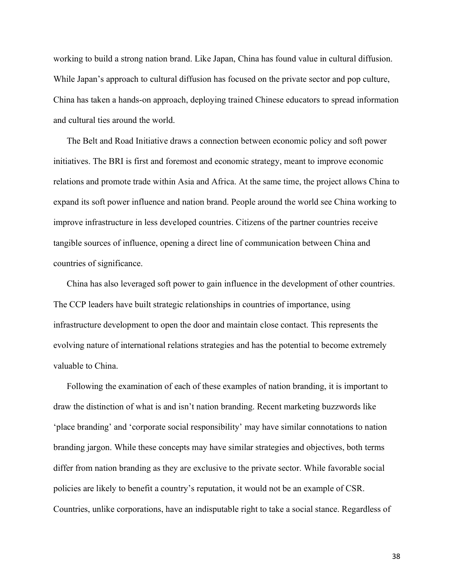working to build a strong nation brand. Like Japan, China has found value in cultural diffusion. While Japan's approach to cultural diffusion has focused on the private sector and pop culture, China has taken a hands-on approach, deploying trained Chinese educators to spread information and cultural ties around the world.

The Belt and Road Initiative draws a connection between economic policy and soft power initiatives. The BRI is first and foremost and economic strategy, meant to improve economic relations and promote trade within Asia and Africa. At the same time, the project allows China to expand its soft power influence and nation brand. People around the world see China working to improve infrastructure in less developed countries. Citizens of the partner countries receive tangible sources of influence, opening a direct line of communication between China and countries of significance.

China has also leveraged soft power to gain influence in the development of other countries. The CCP leaders have built strategic relationships in countries of importance, using infrastructure development to open the door and maintain close contact. This represents the evolving nature of international relations strategies and has the potential to become extremely valuable to China.

Following the examination of each of these examples of nation branding, it is important to draw the distinction of what is and isn't nation branding. Recent marketing buzzwords like 'place branding' and 'corporate social responsibility' may have similar connotations to nation branding jargon. While these concepts may have similar strategies and objectives, both terms differ from nation branding as they are exclusive to the private sector. While favorable social policies are likely to benefit a country's reputation, it would not be an example of CSR. Countries, unlike corporations, have an indisputable right to take a social stance. Regardless of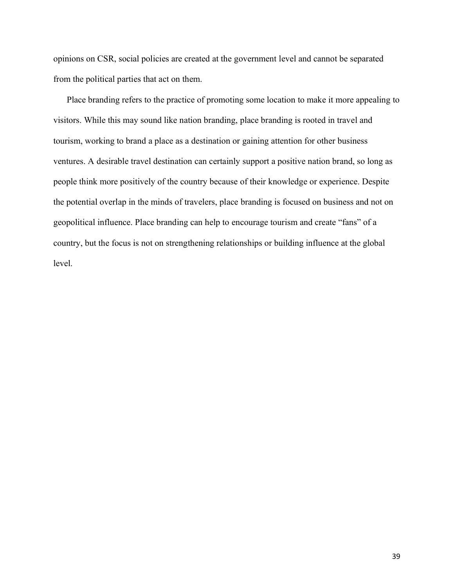opinions on CSR, social policies are created at the government level and cannot be separated from the political parties that act on them.

Place branding refers to the practice of promoting some location to make it more appealing to visitors. While this may sound like nation branding, place branding is rooted in travel and tourism, working to brand a place as a destination or gaining attention for other business ventures. A desirable travel destination can certainly support a positive nation brand, so long as people think more positively of the country because of their knowledge or experience. Despite the potential overlap in the minds of travelers, place branding is focused on business and not on geopolitical influence. Place branding can help to encourage tourism and create "fans" of a country, but the focus is not on strengthening relationships or building influence at the global level.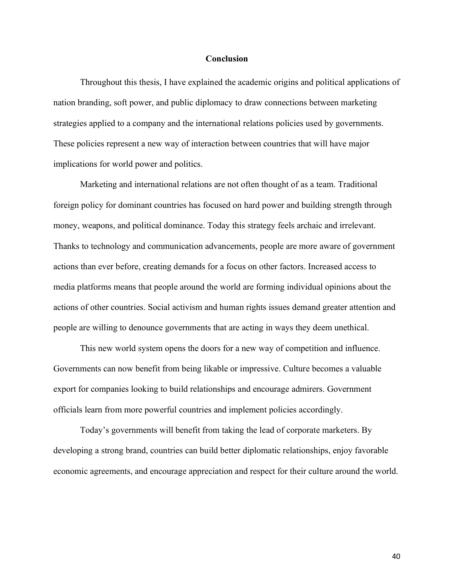#### **Conclusion**

Throughout this thesis, I have explained the academic origins and political applications of nation branding, soft power, and public diplomacy to draw connections between marketing strategies applied to a company and the international relations policies used by governments. These policies represent a new way of interaction between countries that will have major implications for world power and politics.

Marketing and international relations are not often thought of as a team. Traditional foreign policy for dominant countries has focused on hard power and building strength through money, weapons, and political dominance. Today this strategy feels archaic and irrelevant. Thanks to technology and communication advancements, people are more aware of government actions than ever before, creating demands for a focus on other factors. Increased access to media platforms means that people around the world are forming individual opinions about the actions of other countries. Social activism and human rights issues demand greater attention and people are willing to denounce governments that are acting in ways they deem unethical.

 This new world system opens the doors for a new way of competition and influence. Governments can now benefit from being likable or impressive. Culture becomes a valuable export for companies looking to build relationships and encourage admirers. Government officials learn from more powerful countries and implement policies accordingly.

Today's governments will benefit from taking the lead of corporate marketers. By developing a strong brand, countries can build better diplomatic relationships, enjoy favorable economic agreements, and encourage appreciation and respect for their culture around the world.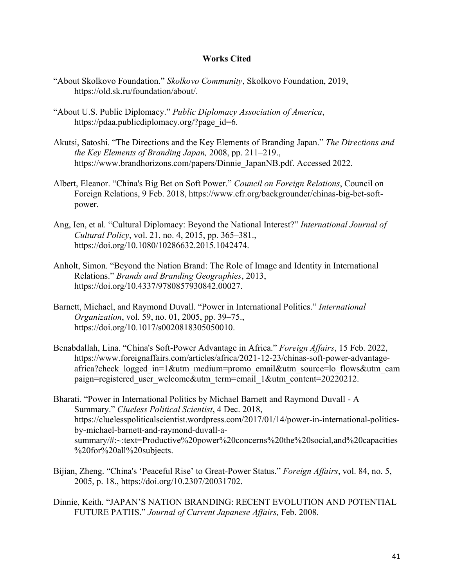# **Works Cited**

- "About Skolkovo Foundation." *Skolkovo Community*, Skolkovo Foundation, 2019, https://old.sk.ru/foundation/about/.
- "About U.S. Public Diplomacy." *Public Diplomacy Association of America*, https://pdaa.publicdiplomacy.org/?page\_id=6.
- Akutsi, Satoshi. "The Directions and the Key Elements of Branding Japan." *The Directions and the Key Elements of Branding Japan,* 2008, pp. 211–219., https://www.brandhorizons.com/papers/Dinnie\_JapanNB.pdf. Accessed 2022.
- Albert, Eleanor. "China's Big Bet on Soft Power." *Council on Foreign Relations*, Council on Foreign Relations, 9 Feb. 2018, https://www.cfr.org/backgrounder/chinas-big-bet-softpower.
- Ang, Ien, et al. "Cultural Diplomacy: Beyond the National Interest?" *International Journal of Cultural Policy*, vol. 21, no. 4, 2015, pp. 365–381., https://doi.org/10.1080/10286632.2015.1042474.
- Anholt, Simon. "Beyond the Nation Brand: The Role of Image and Identity in International Relations." *Brands and Branding Geographies*, 2013, https://doi.org/10.4337/9780857930842.00027.
- Barnett, Michael, and Raymond Duvall. "Power in International Politics." *International Organization*, vol. 59, no. 01, 2005, pp. 39–75., https://doi.org/10.1017/s0020818305050010.
- Benabdallah, Lina. "China's Soft-Power Advantage in Africa." *Foreign Affairs*, 15 Feb. 2022, https://www.foreignaffairs.com/articles/africa/2021-12-23/chinas-soft-power-advantageafrica?check\_logged\_in=1&utm\_medium=promo\_email&utm\_source=lo\_flows&utm\_cam paign=registered\_user\_welcome&utm\_term=email\_1&utm\_content=20220212.
- Bharati. "Power in International Politics by Michael Barnett and Raymond Duvall A Summary." *Clueless Political Scientist*, 4 Dec. 2018, https://cluelesspoliticalscientist.wordpress.com/2017/01/14/power-in-international-politicsby-michael-barnett-and-raymond-duvall-asummary/#:~:text=Productive%20power%20concerns%20the%20social,and%20capacities %20for%20all%20subjects.
- Bijian, Zheng. "China's 'Peaceful Rise' to Great-Power Status." *Foreign Affairs*, vol. 84, no. 5, 2005, p. 18., https://doi.org/10.2307/20031702.
- Dinnie, Keith. "JAPAN'S NATION BRANDING: RECENT EVOLUTION AND POTENTIAL FUTURE PATHS." *Journal of Current Japanese Affairs,* Feb. 2008.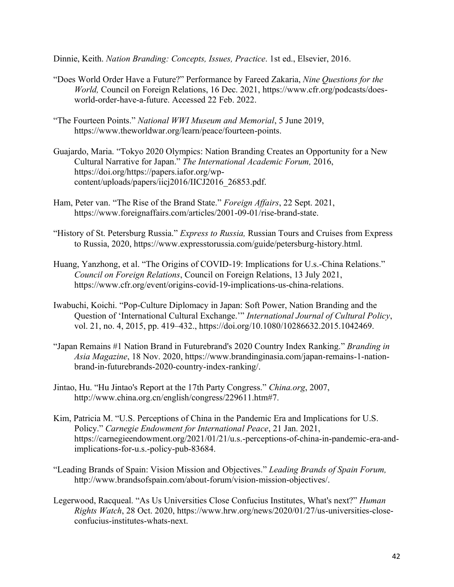Dinnie, Keith. *Nation Branding: Concepts, Issues, Practice*. 1st ed., Elsevier, 2016.

- "Does World Order Have a Future?" Performance by Fareed Zakaria, *Nine Questions for the World,* Council on Foreign Relations, 16 Dec. 2021, https://www.cfr.org/podcasts/doesworld-order-have-a-future. Accessed 22 Feb. 2022.
- "The Fourteen Points." *National WWI Museum and Memorial*, 5 June 2019, https://www.theworldwar.org/learn/peace/fourteen-points.
- Guajardo, Maria. "Tokyo 2020 Olympics: Nation Branding Creates an Opportunity for a New Cultural Narrative for Japan." *The International Academic Forum,* 2016, https://doi.org/https://papers.iafor.org/wpcontent/uploads/papers/iicj2016/IICJ2016\_26853.pdf.
- Ham, Peter van. "The Rise of the Brand State." *Foreign Affairs*, 22 Sept. 2021, https://www.foreignaffairs.com/articles/2001-09-01/rise-brand-state.
- "History of St. Petersburg Russia." *Express to Russia,* Russian Tours and Cruises from Express to Russia, 2020, https://www.expresstorussia.com/guide/petersburg-history.html.
- Huang, Yanzhong, et al. "The Origins of COVID-19: Implications for U.s.-China Relations." *Council on Foreign Relations*, Council on Foreign Relations, 13 July 2021, https://www.cfr.org/event/origins-covid-19-implications-us-china-relations.
- Iwabuchi, Koichi. "Pop-Culture Diplomacy in Japan: Soft Power, Nation Branding and the Question of 'International Cultural Exchange.'" *International Journal of Cultural Policy*, vol. 21, no. 4, 2015, pp. 419–432., https://doi.org/10.1080/10286632.2015.1042469.
- "Japan Remains #1 Nation Brand in Futurebrand's 2020 Country Index Ranking." *Branding in Asia Magazine*, 18 Nov. 2020, https://www.brandinginasia.com/japan-remains-1-nationbrand-in-futurebrands-2020-country-index-ranking/.
- Jintao, Hu. "Hu Jintao's Report at the 17th Party Congress." *China.org*, 2007, http://www.china.org.cn/english/congress/229611.htm#7.
- Kim, Patricia M. "U.S. Perceptions of China in the Pandemic Era and Implications for U.S. Policy." *Carnegie Endowment for International Peace*, 21 Jan. 2021, https://carnegieendowment.org/2021/01/21/u.s.-perceptions-of-china-in-pandemic-era-andimplications-for-u.s.-policy-pub-83684.
- "Leading Brands of Spain: Vision Mission and Objectives." *Leading Brands of Spain Forum,* http://www.brandsofspain.com/about-forum/vision-mission-objectives/.
- Legerwood, Racqueal. "As Us Universities Close Confucius Institutes, What's next?" *Human Rights Watch*, 28 Oct. 2020, https://www.hrw.org/news/2020/01/27/us-universities-closeconfucius-institutes-whats-next.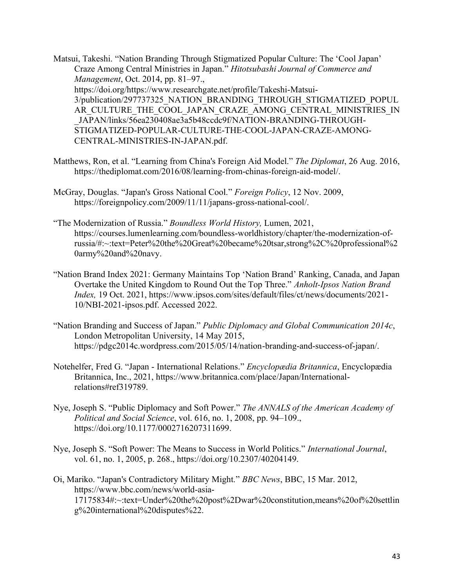Matsui, Takeshi. "Nation Branding Through Stigmatized Popular Culture: The 'Cool Japan' Craze Among Central Ministries in Japan." *Hitotsubashi Journal of Commerce and Management*, Oct. 2014, pp. 81–97., https://doi.org/https://www.researchgate.net/profile/Takeshi-Matsui-3/publication/297737325\_NATION\_BRANDING\_THROUGH\_STIGMATIZED\_POPUL AR\_CULTURE\_THE\_COOL\_JAPAN\_CRAZE\_AMONG\_CENTRAL\_MINISTRIES\_IN \_JAPAN/links/56ea230408ae3a5b48ccdc9f/NATION-BRANDING-THROUGH-STIGMATIZED-POPULAR-CULTURE-THE-COOL-JAPAN-CRAZE-AMONG-CENTRAL-MINISTRIES-IN-JAPAN.pdf.

- Matthews, Ron, et al. "Learning from China's Foreign Aid Model." *The Diplomat*, 26 Aug. 2016, https://thediplomat.com/2016/08/learning-from-chinas-foreign-aid-model/.
- McGray, Douglas. "Japan's Gross National Cool." *Foreign Policy*, 12 Nov. 2009, https://foreignpolicy.com/2009/11/11/japans-gross-national-cool/.
- "The Modernization of Russia." *Boundless World History,* Lumen, 2021, https://courses.lumenlearning.com/boundless-worldhistory/chapter/the-modernization-ofrussia/#:~:text=Peter%20the%20Great%20became%20tsar,strong%2C%20professional%2 0army%20and%20navy.
- "Nation Brand Index 2021: Germany Maintains Top 'Nation Brand' Ranking, Canada, and Japan Overtake the United Kingdom to Round Out the Top Three." *Anholt-Ipsos Nation Brand Index,* 19 Oct. 2021, https://www.ipsos.com/sites/default/files/ct/news/documents/2021- 10/NBI-2021-ipsos.pdf. Accessed 2022.
- "Nation Branding and Success of Japan." *Public Diplomacy and Global Communication 2014c*, London Metropolitan University, 14 May 2015, https://pdgc2014c.wordpress.com/2015/05/14/nation-branding-and-success-of-japan/.
- Notehelfer, Fred G. "Japan International Relations." *Encyclopædia Britannica*, Encyclopædia Britannica, Inc., 2021, https://www.britannica.com/place/Japan/Internationalrelations#ref319789.
- Nye, Joseph S. "Public Diplomacy and Soft Power." *The ANNALS of the American Academy of Political and Social Science*, vol. 616, no. 1, 2008, pp. 94–109., https://doi.org/10.1177/0002716207311699.
- Nye, Joseph S. "Soft Power: The Means to Success in World Politics." *International Journal*, vol. 61, no. 1, 2005, p. 268., https://doi.org/10.2307/40204149.
- Oi, Mariko. "Japan's Contradictory Military Might." *BBC News*, BBC, 15 Mar. 2012, https://www.bbc.com/news/world-asia-17175834#:~:text=Under%20the%20post%2Dwar%20constitution,means%20of%20settlin g%20international%20disputes%22.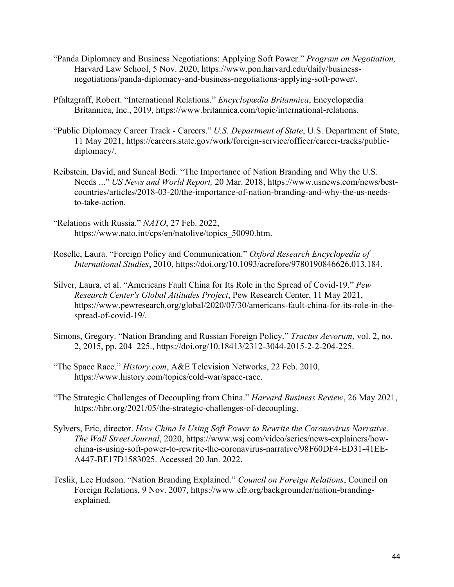- "Panda Diplomacy and Business Negotiations: Applying Soft Power." *Program on Negotiation,* Harvard Law School, 5 Nov. 2020, https://www.pon.harvard.edu/daily/businessnegotiations/panda-diplomacy-and-business-negotiations-applying-soft-power/.
- Pfaltzgraff, Robert. "International Relations." *Encyclopædia Britannica*, Encyclopædia Britannica, Inc., 2019, https://www.britannica.com/topic/international-relations.
- "Public Diplomacy Career Track Careers." *U.S. Department of State*, U.S. Department of State, 11 May 2021, https://careers.state.gov/work/foreign-service/officer/career-tracks/publicdiplomacy/.
- Reibstein, David, and Suneal Bedi. "The Importance of Nation Branding and Why the U.S. Needs ..." *US News and World Report,* 20 Mar. 2018, https://www.usnews.com/news/bestcountries/articles/2018-03-20/the-importance-of-nation-branding-and-why-the-us-needsto-take-action.
- "Relations with Russia." *NATO*, 27 Feb. 2022, https://www.nato.int/cps/en/natolive/topics\_50090.htm.
- Roselle, Laura. "Foreign Policy and Communication." *Oxford Research Encyclopedia of International Studies*, 2010, https://doi.org/10.1093/acrefore/9780190846626.013.184.
- Silver, Laura, et al. "Americans Fault China for Its Role in the Spread of Covid-19." *Pew Research Center's Global Attitudes Project*, Pew Research Center, 11 May 2021, https://www.pewresearch.org/global/2020/07/30/americans-fault-china-for-its-role-in-thespread-of-covid-19/.
- Simons, Gregory. "Nation Branding and Russian Foreign Policy." *Tractus Aevorum*, vol. 2, no. 2, 2015, pp. 204–225., https://doi.org/10.18413/2312-3044-2015-2-2-204-225.
- "The Space Race." *History.com*, A&E Television Networks, 22 Feb. 2010, https://www.history.com/topics/cold-war/space-race.
- "The Strategic Challenges of Decoupling from China." *Harvard Business Review*, 26 May 2021, https://hbr.org/2021/05/the-strategic-challenges-of-decoupling.
- Sylvers, Eric, director. *How China Is Using Soft Power to Rewrite the Coronavirus Narrative. The Wall Street Journal*, 2020, https://www.wsj.com/video/series/news-explainers/howchina-is-using-soft-power-to-rewrite-the-coronavirus-narrative/98F60DF4-ED31-41EE-A447-BE17D1583025. Accessed 20 Jan. 2022.
- Teslik, Lee Hudson. "Nation Branding Explained." *Council on Foreign Relations*, Council on Foreign Relations, 9 Nov. 2007, https://www.cfr.org/backgrounder/nation-brandingexplained.